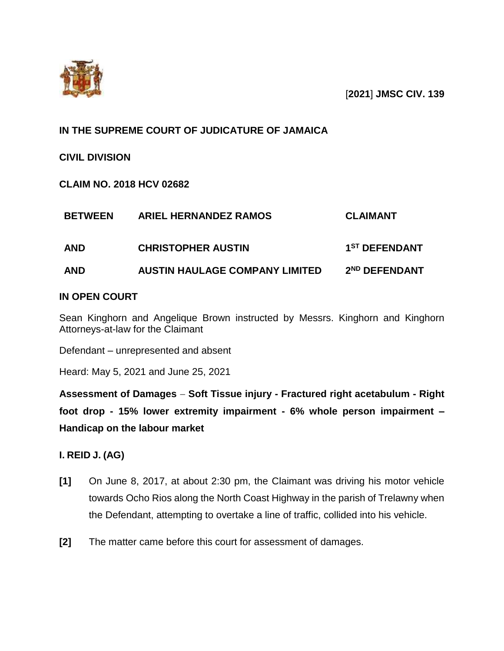

[**2021**] **JMSC CIV. 139**

# **IN THE SUPREME COURT OF JUDICATURE OF JAMAICA**

**CIVIL DIVISION**

**CLAIM NO. 2018 HCV 02682**

| <b>BETWEEN</b> | <b>ARIEL HERNANDEZ RAMOS</b>          | <b>CLAIMANT</b>           |
|----------------|---------------------------------------|---------------------------|
| <b>AND</b>     | <b>CHRISTOPHER AUSTIN</b>             | 1 <sup>ST</sup> DEFENDANT |
| <b>AND</b>     | <b>AUSTIN HAULAGE COMPANY LIMITED</b> | 2 <sup>ND</sup> DEFENDANT |

## **IN OPEN COURT**

Sean Kinghorn and Angelique Brown instructed by Messrs. Kinghorn and Kinghorn Attorneys-at-law for the Claimant

Defendant – unrepresented and absent

Heard: May 5, 2021 and June 25, 2021

**Assessment of Damages Soft Tissue injury - Fractured right acetabulum - Right foot drop - 15% lower extremity impairment - 6% whole person impairment – Handicap on the labour market**

## **I. REID J. (AG)**

- **[1]** On June 8, 2017, at about 2:30 pm, the Claimant was driving his motor vehicle towards Ocho Rios along the North Coast Highway in the parish of Trelawny when the Defendant, attempting to overtake a line of traffic, collided into his vehicle.
- **[2]** The matter came before this court for assessment of damages.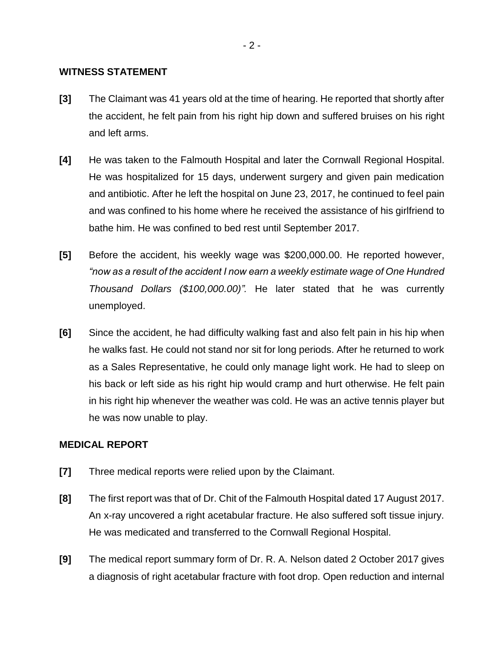#### **WITNESS STATEMENT**

- **[3]** The Claimant was 41 years old at the time of hearing. He reported that shortly after the accident, he felt pain from his right hip down and suffered bruises on his right and left arms.
- **[4]** He was taken to the Falmouth Hospital and later the Cornwall Regional Hospital. He was hospitalized for 15 days, underwent surgery and given pain medication and antibiotic. After he left the hospital on June 23, 2017, he continued to feel pain and was confined to his home where he received the assistance of his girlfriend to bathe him. He was confined to bed rest until September 2017.
- **[5]** Before the accident, his weekly wage was \$200,000.00. He reported however, *"now as a result of the accident I now earn a weekly estimate wage of One Hundred Thousand Dollars (\$100,000.00)".* He later stated that he was currently unemployed.
- **[6]** Since the accident, he had difficulty walking fast and also felt pain in his hip when he walks fast. He could not stand nor sit for long periods. After he returned to work as a Sales Representative, he could only manage light work. He had to sleep on his back or left side as his right hip would cramp and hurt otherwise. He felt pain in his right hip whenever the weather was cold. He was an active tennis player but he was now unable to play.

#### **MEDICAL REPORT**

- **[7]** Three medical reports were relied upon by the Claimant.
- **[8]** The first report was that of Dr. Chit of the Falmouth Hospital dated 17 August 2017. An x-ray uncovered a right acetabular fracture. He also suffered soft tissue injury. He was medicated and transferred to the Cornwall Regional Hospital.
- **[9]** The medical report summary form of Dr. R. A. Nelson dated 2 October 2017 gives a diagnosis of right acetabular fracture with foot drop. Open reduction and internal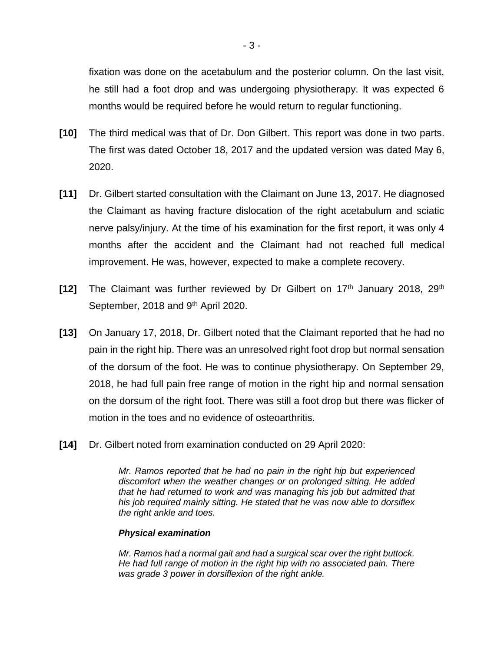fixation was done on the acetabulum and the posterior column. On the last visit, he still had a foot drop and was undergoing physiotherapy. It was expected 6 months would be required before he would return to regular functioning.

- **[10]** The third medical was that of Dr. Don Gilbert. This report was done in two parts. The first was dated October 18, 2017 and the updated version was dated May 6, 2020.
- **[11]** Dr. Gilbert started consultation with the Claimant on June 13, 2017. He diagnosed the Claimant as having fracture dislocation of the right acetabulum and sciatic nerve palsy/injury. At the time of his examination for the first report, it was only 4 months after the accident and the Claimant had not reached full medical improvement. He was, however, expected to make a complete recovery.
- **[12]** The Claimant was further reviewed by Dr Gilbert on 17th January 2018, 29th September, 2018 and 9<sup>th</sup> April 2020.
- **[13]** On January 17, 2018, Dr. Gilbert noted that the Claimant reported that he had no pain in the right hip. There was an unresolved right foot drop but normal sensation of the dorsum of the foot. He was to continue physiotherapy. On September 29, 2018, he had full pain free range of motion in the right hip and normal sensation on the dorsum of the right foot. There was still a foot drop but there was flicker of motion in the toes and no evidence of osteoarthritis.
- **[14]** Dr. Gilbert noted from examination conducted on 29 April 2020:

*Mr. Ramos reported that he had no pain in the right hip but experienced discomfort when the weather changes or on prolonged sitting. He added that he had returned to work and was managing his job but admitted that his job required mainly sitting. He stated that he was now able to dorsiflex the right ankle and toes.*

#### *Physical examination*

*Mr. Ramos had a normal gait and had a surgical scar over the right buttock. He had full range of motion in the right hip with no associated pain. There was grade 3 power in dorsiflexion of the right ankle.*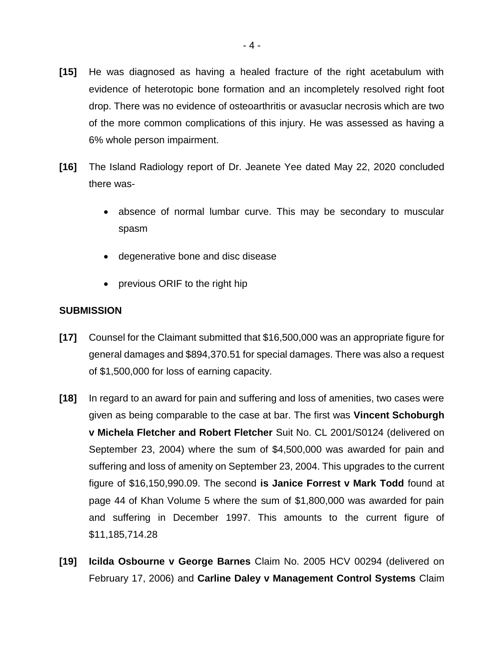- **[15]** He was diagnosed as having a healed fracture of the right acetabulum with evidence of heterotopic bone formation and an incompletely resolved right foot drop. There was no evidence of osteoarthritis or avasuclar necrosis which are two of the more common complications of this injury. He was assessed as having a 6% whole person impairment.
- **[16]** The Island Radiology report of Dr. Jeanete Yee dated May 22, 2020 concluded there was
	- absence of normal lumbar curve. This may be secondary to muscular spasm
	- degenerative bone and disc disease
	- previous ORIF to the right hip

### **SUBMISSION**

- **[17]** Counsel for the Claimant submitted that \$16,500,000 was an appropriate figure for general damages and \$894,370.51 for special damages. There was also a request of \$1,500,000 for loss of earning capacity.
- **[18]** In regard to an award for pain and suffering and loss of amenities, two cases were given as being comparable to the case at bar. The first was **Vincent Schoburgh v Michela Fletcher and Robert Fletcher** Suit No. CL 2001/S0124 (delivered on September 23, 2004) where the sum of \$4,500,000 was awarded for pain and suffering and loss of amenity on September 23, 2004. This upgrades to the current figure of \$16,150,990.09. The second **is Janice Forrest v Mark Todd** found at page 44 of Khan Volume 5 where the sum of \$1,800,000 was awarded for pain and suffering in December 1997. This amounts to the current figure of \$11,185,714.28
- **[19] Icilda Osbourne v George Barnes** Claim No. 2005 HCV 00294 (delivered on February 17, 2006) and **Carline Daley v Management Control Systems** Claim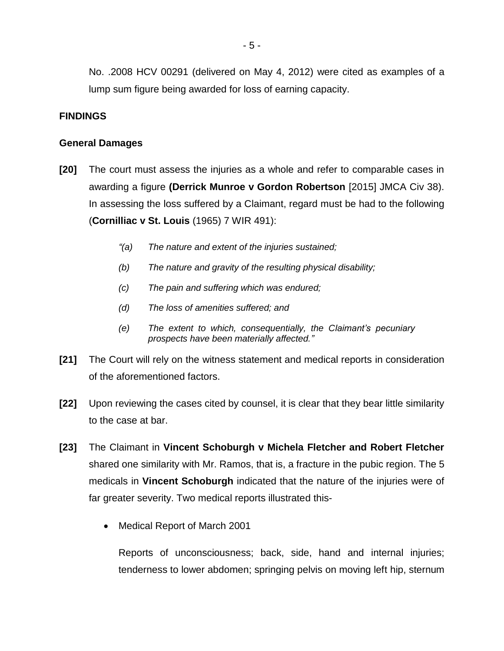No. .2008 HCV 00291 (delivered on May 4, 2012) were cited as examples of a lump sum figure being awarded for loss of earning capacity.

#### **FINDINGS**

#### **General Damages**

- **[20]** The court must assess the injuries as a whole and refer to comparable cases in awarding a figure **(Derrick Munroe v Gordon Robertson** [2015] JMCA Civ 38). In assessing the loss suffered by a Claimant, regard must be had to the following (**Cornilliac v St. Louis** (1965) 7 WIR 491):
	- *"(a) The nature and extent of the injuries sustained;*
	- *(b) The nature and gravity of the resulting physical disability;*
	- *(c) The pain and suffering which was endured;*
	- *(d) The loss of amenities suffered; and*
	- *(e) The extent to which, consequentially, the Claimant's pecuniary prospects have been materially affected."*
- **[21]** The Court will rely on the witness statement and medical reports in consideration of the aforementioned factors.
- **[22]** Upon reviewing the cases cited by counsel, it is clear that they bear little similarity to the case at bar.
- **[23]** The Claimant in **Vincent Schoburgh v Michela Fletcher and Robert Fletcher** shared one similarity with Mr. Ramos, that is, a fracture in the pubic region. The 5 medicals in **Vincent Schoburgh** indicated that the nature of the injuries were of far greater severity. Two medical reports illustrated this-
	- Medical Report of March 2001

Reports of unconsciousness; back, side, hand and internal injuries; tenderness to lower abdomen; springing pelvis on moving left hip, sternum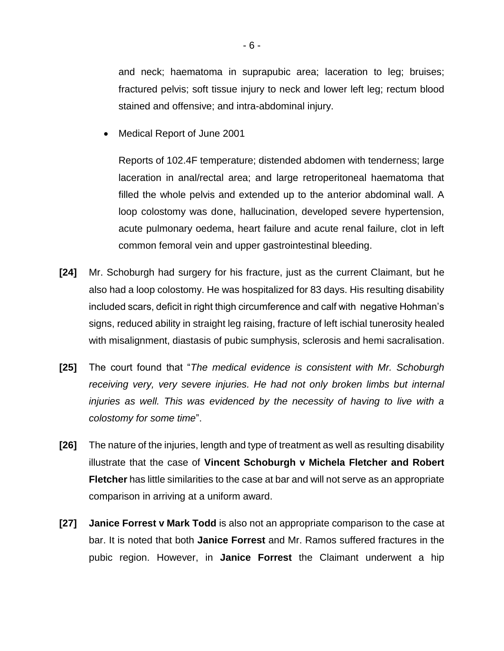and neck; haematoma in suprapubic area; laceration to leg; bruises; fractured pelvis; soft tissue injury to neck and lower left leg; rectum blood stained and offensive; and intra-abdominal injury.

Medical Report of June 2001

Reports of 102.4F temperature; distended abdomen with tenderness; large laceration in anal/rectal area; and large retroperitoneal haematoma that filled the whole pelvis and extended up to the anterior abdominal wall. A loop colostomy was done, hallucination, developed severe hypertension, acute pulmonary oedema, heart failure and acute renal failure, clot in left common femoral vein and upper gastrointestinal bleeding.

- **[24]** Mr. Schoburgh had surgery for his fracture, just as the current Claimant, but he also had a loop colostomy. He was hospitalized for 83 days. His resulting disability included scars, deficit in right thigh circumference and calf with negative Hohman's signs, reduced ability in straight leg raising, fracture of left ischial tunerosity healed with misalignment, diastasis of pubic sumphysis, sclerosis and hemi sacralisation.
- **[25]** The court found that "*The medical evidence is consistent with Mr. Schoburgh receiving very, very severe injuries. He had not only broken limbs but internal*  injuries as well. This was evidenced by the necessity of having to live with a *colostomy for some time*".
- **[26]** The nature of the injuries, length and type of treatment as well as resulting disability illustrate that the case of **Vincent Schoburgh v Michela Fletcher and Robert Fletcher** has little similarities to the case at bar and will not serve as an appropriate comparison in arriving at a uniform award.
- **[27] Janice Forrest v Mark Todd** is also not an appropriate comparison to the case at bar. It is noted that both **Janice Forrest** and Mr. Ramos suffered fractures in the pubic region. However, in **Janice Forrest** the Claimant underwent a hip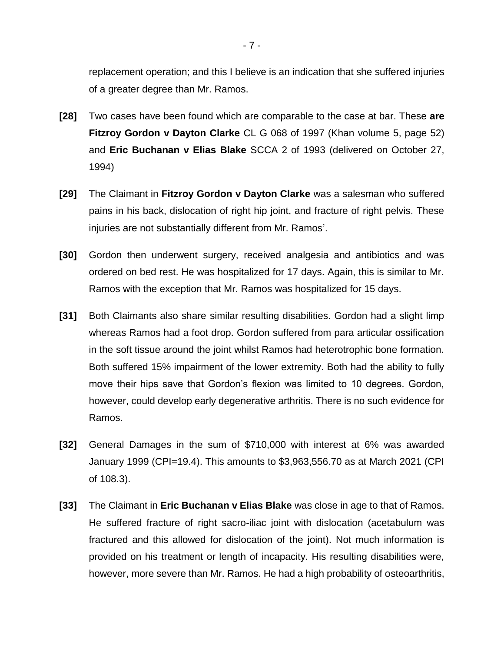replacement operation; and this I believe is an indication that she suffered injuries of a greater degree than Mr. Ramos.

- **[28]** Two cases have been found which are comparable to the case at bar. These **are Fitzroy Gordon v Dayton Clarke** CL G 068 of 1997 (Khan volume 5, page 52) and **Eric Buchanan v Elias Blake** SCCA 2 of 1993 (delivered on October 27, 1994)
- **[29]** The Claimant in **Fitzroy Gordon v Dayton Clarke** was a salesman who suffered pains in his back, dislocation of right hip joint, and fracture of right pelvis. These injuries are not substantially different from Mr. Ramos'.
- **[30]** Gordon then underwent surgery, received analgesia and antibiotics and was ordered on bed rest. He was hospitalized for 17 days. Again, this is similar to Mr. Ramos with the exception that Mr. Ramos was hospitalized for 15 days.
- **[31]** Both Claimants also share similar resulting disabilities. Gordon had a slight limp whereas Ramos had a foot drop. Gordon suffered from para articular ossification in the soft tissue around the joint whilst Ramos had heterotrophic bone formation. Both suffered 15% impairment of the lower extremity. Both had the ability to fully move their hips save that Gordon's flexion was limited to 10 degrees. Gordon, however, could develop early degenerative arthritis. There is no such evidence for Ramos.
- **[32]** General Damages in the sum of \$710,000 with interest at 6% was awarded January 1999 (CPI=19.4). This amounts to \$3,963,556.70 as at March 2021 (CPI of 108.3).
- **[33]** The Claimant in **Eric Buchanan v Elias Blake** was close in age to that of Ramos. He suffered fracture of right sacro-iliac joint with dislocation (acetabulum was fractured and this allowed for dislocation of the joint). Not much information is provided on his treatment or length of incapacity. His resulting disabilities were, however, more severe than Mr. Ramos. He had a high probability of osteoarthritis,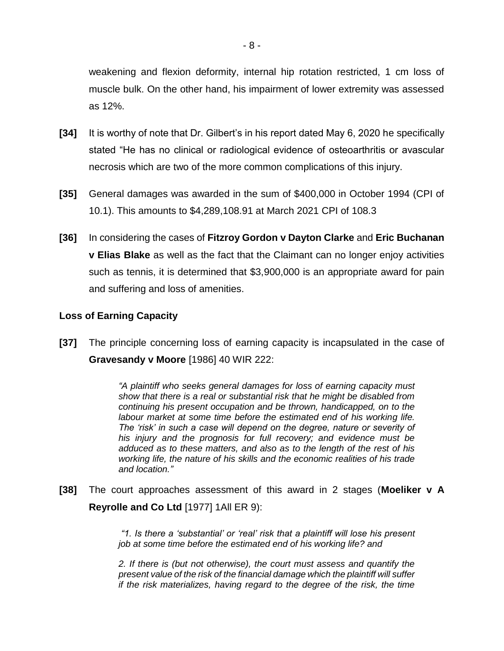weakening and flexion deformity, internal hip rotation restricted, 1 cm loss of muscle bulk. On the other hand, his impairment of lower extremity was assessed as 12%.

- **[34]** It is worthy of note that Dr. Gilbert's in his report dated May 6, 2020 he specifically stated "He has no clinical or radiological evidence of osteoarthritis or avascular necrosis which are two of the more common complications of this injury.
- **[35]** General damages was awarded in the sum of \$400,000 in October 1994 (CPI of 10.1). This amounts to \$4,289,108.91 at March 2021 CPI of 108.3
- **[36]** In considering the cases of **Fitzroy Gordon v Dayton Clarke** and **Eric Buchanan v Elias Blake** as well as the fact that the Claimant can no longer enjoy activities such as tennis, it is determined that \$3,900,000 is an appropriate award for pain and suffering and loss of amenities.

### **Loss of Earning Capacity**

**[37]** The principle concerning loss of earning capacity is incapsulated in the case of **Gravesandy v Moore** [1986] 40 WIR 222:

> *"A plaintiff who seeks general damages for loss of earning capacity must show that there is a real or substantial risk that he might be disabled from continuing his present occupation and be thrown, handicapped, on to the labour market at some time before the estimated end of his working life. The 'risk' in such a case will depend on the degree, nature or severity of his injury and the prognosis for full recovery; and evidence must be adduced as to these matters, and also as to the length of the rest of his working life, the nature of his skills and the economic realities of his trade and location."*

**[38]** The court approaches assessment of this award in 2 stages (**Moeliker v A Reyrolle and Co Ltd** [1977] 1All ER 9):

> *"1. Is there a 'substantial' or 'real' risk that a plaintiff will lose his present job at some time before the estimated end of his working life? and*

> *2. If there is (but not otherwise), the court must assess and quantify the present value of the risk of the financial damage which the plaintiff will suffer if the risk materializes, having regard to the degree of the risk, the time*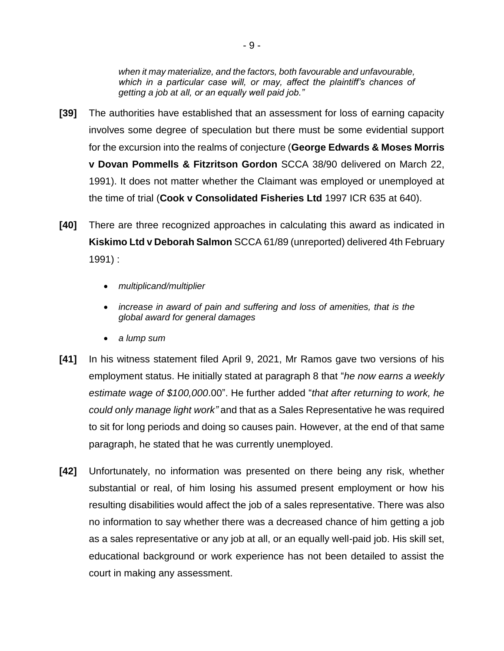*when it may materialize, and the factors, both favourable and unfavourable, which in a particular case will, or may, affect the plaintiff's chances of getting a job at all, or an equally well paid job."*

- **[39]** The authorities have established that an assessment for loss of earning capacity involves some degree of speculation but there must be some evidential support for the excursion into the realms of conjecture (**George Edwards & Moses Morris v Dovan Pommells & Fitzritson Gordon** SCCA 38/90 delivered on March 22, 1991). It does not matter whether the Claimant was employed or unemployed at the time of trial (**Cook v Consolidated Fisheries Ltd** 1997 ICR 635 at 640).
- **[40]** There are three recognized approaches in calculating this award as indicated in **Kiskimo Ltd v Deborah Salmon** SCCA 61/89 (unreported) delivered 4th February 1991) :
	- *multiplicand/multiplier*
	- *increase in award of pain and suffering and loss of amenities, that is the global award for general damages*
	- *a lump sum*
- **[41]** In his witness statement filed April 9, 2021, Mr Ramos gave two versions of his employment status. He initially stated at paragraph 8 that "*he now earns a weekly estimate wage of \$100,000*.00". He further added "*that after returning to work, he could only manage light work"* and that as a Sales Representative he was required to sit for long periods and doing so causes pain. However, at the end of that same paragraph, he stated that he was currently unemployed.
- **[42]** Unfortunately, no information was presented on there being any risk, whether substantial or real, of him losing his assumed present employment or how his resulting disabilities would affect the job of a sales representative. There was also no information to say whether there was a decreased chance of him getting a job as a sales representative or any job at all, or an equally well-paid job. His skill set, educational background or work experience has not been detailed to assist the court in making any assessment.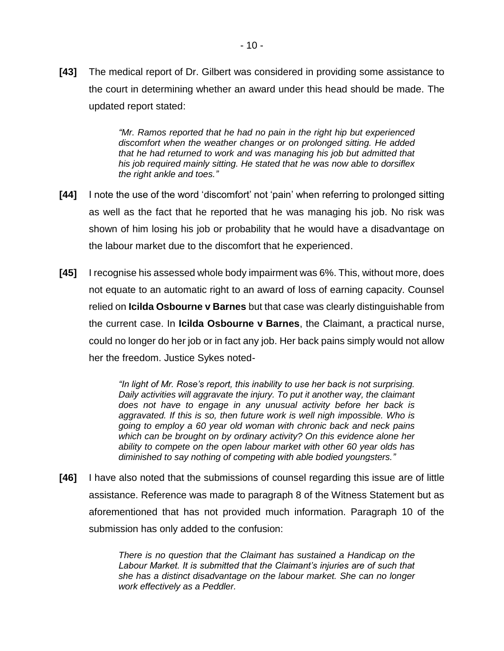**[43]** The medical report of Dr. Gilbert was considered in providing some assistance to the court in determining whether an award under this head should be made. The updated report stated:

> *"Mr. Ramos reported that he had no pain in the right hip but experienced discomfort when the weather changes or on prolonged sitting. He added that he had returned to work and was managing his job but admitted that his job required mainly sitting. He stated that he was now able to dorsiflex the right ankle and toes."*

- **[44]** I note the use of the word 'discomfort' not 'pain' when referring to prolonged sitting as well as the fact that he reported that he was managing his job. No risk was shown of him losing his job or probability that he would have a disadvantage on the labour market due to the discomfort that he experienced.
- **[45]** I recognise his assessed whole body impairment was 6%. This, without more, does not equate to an automatic right to an award of loss of earning capacity. Counsel relied on **Icilda Osbourne v Barnes** but that case was clearly distinguishable from the current case. In **Icilda Osbourne v Barnes**, the Claimant, a practical nurse, could no longer do her job or in fact any job. Her back pains simply would not allow her the freedom. Justice Sykes noted-

*"In light of Mr. Rose's report, this inability to use her back is not surprising. Daily activities will aggravate the injury. To put it another way, the claimant does not have to engage in any unusual activity before her back is aggravated. If this is so, then future work is well nigh impossible. Who is going to employ a 60 year old woman with chronic back and neck pains which can be brought on by ordinary activity? On this evidence alone her ability to compete on the open labour market with other 60 year olds has diminished to say nothing of competing with able bodied youngsters."*

**[46]** I have also noted that the submissions of counsel regarding this issue are of little assistance. Reference was made to paragraph 8 of the Witness Statement but as aforementioned that has not provided much information. Paragraph 10 of the submission has only added to the confusion:

> *There is no question that the Claimant has sustained a Handicap on the Labour Market. It is submitted that the Claimant's injuries are of such that she has a distinct disadvantage on the labour market. She can no longer work effectively as a Peddler.*